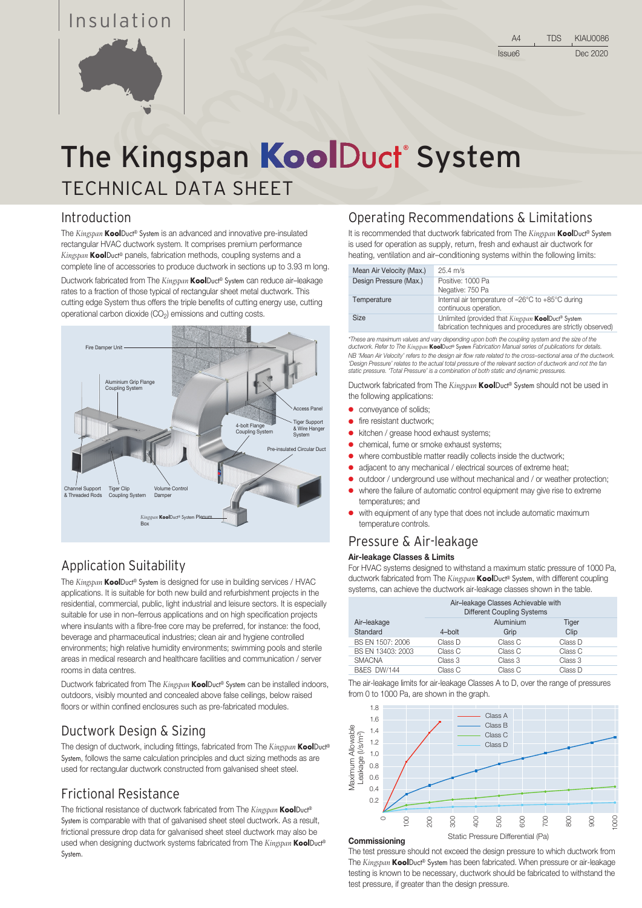# Insulation



# TECHNICAL DATA SHEET The Kingspan KoolDuct System

### Introduction

The *Kingspan* KoolDuct® System is an advanced and innovative pre-insulated rectangular HVAC ductwork system. It comprises premium performance *Kingspan* KoolDuct® panels, fabrication methods, coupling systems and a complete line of accessories to produce ductwork in sections up to 3.93 m long.

Ductwork fabricated from The *Kingspan* KoolDuct® System can reduce air–leakage rates to a fraction of those typical of rectangular sheet metal ductwork. This cutting edge System thus offers the triple benefits of cutting energy use, cutting operational carbon dioxide  $(CO<sub>2</sub>)$  emissions and cutting costs.



# Application Suitability

The *Kingspan* KoolDuct® System is designed for use in building services / HVAC applications. It is suitable for both new build and refurbishment projects in the residential, commercial, public, light industrial and leisure sectors. It is especially suitable for use in non–ferrous applications and on high specification projects where insulants with a fibre-free core may be preferred, for instance: the food, beverage and pharmaceutical industries; clean air and hygiene controlled environments; high relative humidity environments; swimming pools and sterile areas in medical research and healthcare facilities and communication / server rooms in data centres.

Ductwork fabricated from The *Kingspan* **Kool**Duct<sup>®</sup> System can be installed indoors, outdoors, visibly mounted and concealed above false ceilings, below raised floors or within confined enclosures such as pre-fabricated modules.

# Ductwork Design & Sizing

The design of ductwork, including fittings, fabricated from The *Kingspan* KoolDuct® System, follows the same calculation principles and duct sizing methods as are used for rectangular ductwork constructed from galvanised sheet steel.

### Frictional Resistance

The frictional resistance of ductwork fabricated from The *Kingspan* KoolDuct® System is comparable with that of galvanised sheet steel ductwork. As a result, frictional pressure drop data for galvanised sheet steel ductwork may also be used when designing ductwork systems fabricated from The *Kingspan* KoolDuct® System.

### Operating Recommendations & Limitations

It is recommended that ductwork fabricated from The *Kingspan* KoolDuct® System is used for operation as supply, return, fresh and exhaust air ductwork for heating, ventilation and air–conditioning systems within the following limits:

| Mean Air Velocity (Max.) | $25.4 \text{ m/s}$                                                                                                 |
|--------------------------|--------------------------------------------------------------------------------------------------------------------|
| Design Pressure (Max.)   | Positive: 1000 Pa<br>Negative: 750 Pa                                                                              |
| Temperature              | Internal air temperature of -26°C to +85°C during<br>continuous operation.                                         |
| <b>Size</b>              | Unlimited (provided that Kingspan KoolDuct® System<br>fabrication techniques and procedures are strictly observed) |

*\*These are maximum values and vary depending upon both the coupling system and the size of the ductwork. Refer to The Kingspan* KoolDuct® System *Fabrication Manual series of publications for details.* NB 'Mean Air Velocity' refers to the design air flow rate related to the cross–sectional area of the ductwork.<br>'Design Pressure' relates to the actual total pressure of the relevant section of ductwork and not the fan *static pressure. 'Total Pressure' is a combination of both static and dynamic pressures.*

Ductwork fabricated from The *Kingspan* KoolDuct® System should not be used in the following applications:

- **•** conveyance of solids;
- **•** fire resistant ductwork:
- kitchen / grease hood exhaust systems;
- chemical, fume or smoke exhaust systems;
- where combustible matter readily collects inside the ductwork;
- adjacent to any mechanical / electrical sources of extreme heat;
- outdoor / underground use without mechanical and / or weather protection;
- where the failure of automatic control equipment may give rise to extreme temperatures; and
- with equipment of any type that does not include automatic maximum temperature controls.

# Pressure & Air-leakage

#### Air-leakage Classes & Limits

For HVAC systems designed to withstand a maximum static pressure of 1000 Pa, ductwork fabricated from The *Kingspan* KoolDuct® System, with different coupling systems, can achieve the ductwork air-leakage classes shown in the table.

|                         | Air-leakage Classes Achievable with<br><b>Different Coupling Systems</b> |                   |               |
|-------------------------|--------------------------------------------------------------------------|-------------------|---------------|
| Air-leakage<br>Standard | $4$ -bolt                                                                | Aluminium<br>Grip | Tiger<br>Clip |
| BS EN 1507: 2006        | Class D                                                                  | Class C           | Class D       |
| BS EN 13403: 2003       | Class C                                                                  | Class C           | Class C       |
| <b>SMACNA</b>           | Class 3                                                                  | Class 3           | Class 3       |
| <b>B&amp;ES DW/144</b>  | Class C                                                                  | Class C           | Class D       |

The air-leakage limits for air-leakage Classes A to D, over the range of pressures from 0 to 1000 Pa, are shown in the graph.



**Commissioning** 

The test pressure should not exceed the design pressure to which ductwork from

The *Kingspan* KoolDuct® System has been fabricated. When pressure or air-leakage testing is known to be necessary, ductwork should be fabricated to withstand the test pressure, if greater than the design pressure.